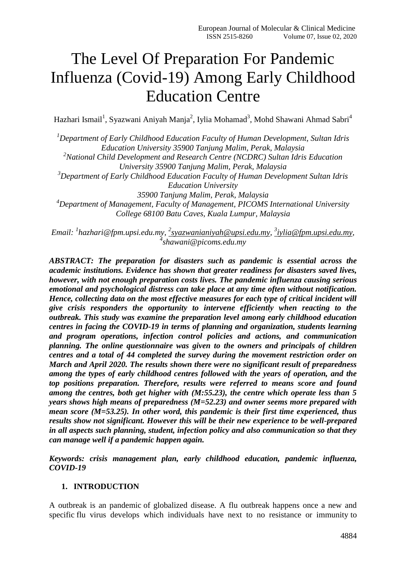# The Level Of Preparation For Pandemic Influenza (Covid-19) Among Early Childhood Education Centre

Hazhari Ismail<sup>1</sup>, Syazwani Aniyah Manja<sup>2</sup>, Iylia Mohamad<sup>3</sup>, Mohd Shawani Ahmad Sabri<sup>4</sup>

*<sup>1</sup>Department of Early Childhood Education Faculty of Human Development, Sultan Idris Education University 35900 Tanjung Malim, Perak, Malaysia*

*<sup>2</sup>National Child Development and Research Centre (NCDRC) Sultan Idris Education University 35900 Tanjung Malim, Perak, Malaysia*

*<sup>3</sup>Department of Early Childhood Education Faculty of Human Development Sultan Idris Education University*

*35900 Tanjung Malim, Perak, Malaysia*

*<sup>4</sup>Department of Management, Faculty of Management, PICOMS International University College 68100 Batu Caves, Kuala Lumpur, Malaysia*

*Email: <sup>1</sup> [hazhari@fpm.upsi.edu.my,](mailto:hazhari@fpm.upsi.edu.my) 2 [syazwanianiyah@upsi.edu.my,](mailto:2syazwanianiyah@upsi.edu.my) 3 [iylia@fpm.upsi.edu.my,](mailto:3iylia@fpm.upsi.edu.my) 4 shawani@picoms.edu.my*

*ABSTRACT: The preparation for disasters such as pandemic is essential across the academic institutions. Evidence has shown that greater readiness for disasters saved lives, however, with not enough preparation costs lives. The pandemic influenza causing serious emotional and psychological distress can take place at any time often without notification. Hence, collecting data on the most effective measures for each type of critical incident will give crisis responders the opportunity to intervene efficiently when reacting to the outbreak. This study was examine the preparation level among early childhood education centres in facing the COVID-19 in terms of planning and organization, students learning and program operations, infection control policies and actions, and communication planning. The online questionnaire was given to the owners and principals of children centres and a total of 44 completed the survey during the movement restriction order on March and April 2020. The results shown there were no significant result of preparedness among the types of early childhood centres followed with the years of operation, and the top positions preparation. Therefore, results were referred to means score and found among the centres, both get higher with (M:55.23), the centre which operate less than 5 years shows high means of preparedness (M=52.23) and owner seems more prepared with mean score (M=53.25). In other word, this pandemic is their first time experienced, thus results show not significant. However this will be their new experience to be well-prepared in all aspects such planning, student, infection policy and also communication so that they can manage well if a pandemic happen again.* 

*Keywords: crisis management plan, early childhood education, pandemic influenza, COVID-19*

# **1. INTRODUCTION**

A outbreak is an pandemic of globalized disease. A flu outbreak happens once a new and specific flu virus develops which individuals have next to no resistance or immunity to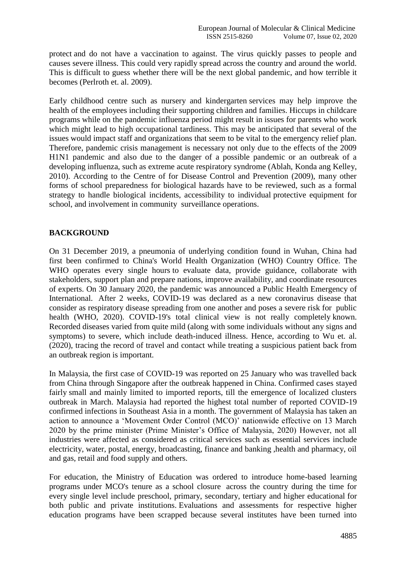protect and do not have a vaccination to against. The virus quickly passes to people and causes severe illness. This could very rapidly spread across the country and around the world. This is difficult to guess whether there will be the next global pandemic, and how terrible it becomes (Perlroth et. al. 2009).

Early childhood centre such as nursery and kindergarten services may help improve the health of the employees including their supporting children and families. Hiccups in childcare programs while on the pandemic influenza period might result in issues for parents who work which might lead to high occupational tardiness. This may be anticipated that several of the issues would impact staff and organizations that seem to be vital to the emergency relief plan. Therefore, pandemic crisis management is necessary not only due to the effects of the 2009 H1N1 pandemic and also due to the danger of a possible pandemic or an outbreak of a developing influenza, such as extreme acute respiratory syndrome (Ablah, Konda ang Kelley, 2010). According to the Centre of for Disease Control and Prevention (2009), many other forms of school preparedness for biological hazards have to be reviewed, such as a formal strategy to handle biological incidents, accessibility to individual protective equipment for school, and involvement in community surveillance operations.

### **BACKGROUND**

On 31 December 2019, a pneumonia of underlying condition found in Wuhan, China had first been confirmed to China's World Health Organization (WHO) Country Office. The WHO operates every single hours to evaluate data, provide guidance, collaborate with stakeholders, support plan and prepare nations, improve availability, and coordinate resources of experts. On 30 January 2020, the pandemic was announced a Public Health Emergency of International. After 2 weeks, COVID-19 was declared as a new coronavirus disease that consider as respiratory disease spreading from one another and poses a severe risk for public health (WHO, 2020). COVID-19's total clinical view is not really completely known. Recorded diseases varied from quite mild (along with some individuals without any signs and symptoms) to severe, which include death-induced illness. Hence, according to Wu et. al. (2020), tracing the record of travel and contact while treating a suspicious patient back from an outbreak region is important.

In Malaysia, the first case of COVID-19 was reported on 25 January who was travelled back from China through Singapore after the outbreak happened in China. Confirmed cases stayed fairly small and mainly limited to imported reports, till the emergence of localized clusters outbreak in March. Malaysia had reported the highest total number of reported COVID-19 confirmed infections in Southeast Asia in a month. The government of Malaysia has taken an action to announce a 'Movement Order Control (MCO)' nationwide effective on 13 March 2020 by the prime minister (Prime Minister's Office of Malaysia, 2020) However, not all industries were affected as considered as critical services such as essential services include electricity, water, postal, energy, broadcasting, finance and banking ,health and pharmacy, oil and gas, retail and food supply and others.

For education, the Ministry of Education was ordered to introduce home-based learning programs under MCO's tenure as a school closure across the country during the time for every single level include preschool, primary, secondary, tertiary and higher educational for both public and private institutions. Evaluations and assessments for respective higher education programs have been scrapped because several institutes have been turned into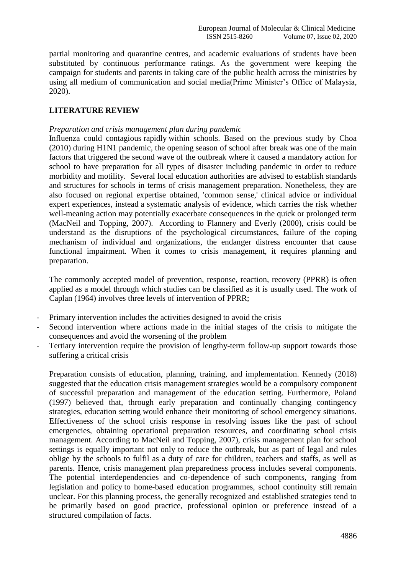partial monitoring and quarantine centres, and academic evaluations of students have been substituted by continuous performance ratings. As the government were keeping the campaign for students and parents in taking care of the public health across the ministries by using all medium of communication and social media(Prime Minister's Office of Malaysia, 2020).

# **LITERATURE REVIEW**

## *Preparation and crisis management plan during pandemic*

Influenza could contagious rapidly within schools. Based on the previous study by Choa (2010) during H1N1 pandemic, the opening season of school after break was one of the main factors that triggered the second wave of the outbreak where it caused a mandatory action for school to have preparation for all types of disaster including pandemic in order to reduce morbidity and motility. Several local education authorities are advised to establish standards and structures for schools in terms of crisis management preparation. Nonetheless, they are also focused on regional expertise obtained, 'common sense,' clinical advice or individual expert experiences, instead a systematic analysis of evidence, which carries the risk whether well-meaning action may potentially exacerbate consequences in the quick or prolonged term (MacNeil and Topping, 2007). According to Flannery and Everly (2000), crisis could be understand as the disruptions of the psychological circumstances, failure of the coping mechanism of individual and organizations, the endanger distress encounter that cause functional impairment. When it comes to crisis management, it requires planning and preparation.

The commonly accepted model of prevention, response, reaction, recovery (PPRR) is often applied as a model through which studies can be classified as it is usually used. The work of Caplan (1964) involves three levels of intervention of PPRR;

- Primary intervention includes the activities designed to avoid the crisis
- Second intervention where actions made in the initial stages of the crisis to mitigate the consequences and avoid the worsening of the problem
- Tertiary intervention require the provision of lengthy-term follow-up support towards those suffering a critical crisis

Preparation consists of education, planning, training, and implementation. Kennedy (2018) suggested that the education crisis management strategies would be a compulsory component of successful preparation and management of the education setting. Furthermore, Poland (1997) believed that, through early preparation and continually changing contingency strategies, education setting would enhance their monitoring of school emergency situations. Effectiveness of the school crisis response in resolving issues like the past of school emergencies, obtaining operational preparation resources, and coordinating school crisis management. According to MacNeil and Topping, 2007), crisis management plan for school settings is equally important not only to reduce the outbreak, but as part of legal and rules oblige by the schools to fulfil as a duty of care for children, teachers and staffs, as well as parents. Hence, crisis management plan preparedness process includes several components. The potential interdependencies and co-dependence of such components, ranging from legislation and policy to home-based education programmes, school continuity still remain unclear. For this planning process, the generally recognized and established strategies tend to be primarily based on good practice, professional opinion or preference instead of a structured compilation of facts.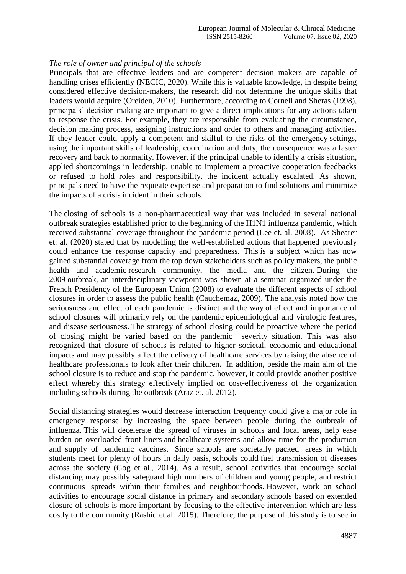#### *The role of owner and principal of the schools*

Principals that are effective leaders and are competent decision makers are capable of handling crises efficiently (NECIC, 2020). While this is valuable knowledge, in despite being considered effective decision-makers, the research did not determine the unique skills that leaders would acquire (Oreiden, 2010). Furthermore, according to Cornell and Sheras (1998), principals' decision-making are important to give a direct implications for any actions taken to response the crisis. For example, they are responsible from evaluating the circumstance, decision making process, assigning instructions and order to others and managing activities. If they leader could apply a competent and skilful to the risks of the emergency settings, using the important skills of leadership, coordination and duty, the consequence was a faster recovery and back to normality. However, if the principal unable to identify a crisis situation, applied shortcomings in leadership, unable to implement a proactive cooperation feedbacks or refused to hold roles and responsibility, the incident actually escalated. As shown, principals need to have the requisite expertise and preparation to find solutions and minimize the impacts of a crisis incident in their schools.

The closing of schools is a non-pharmaceutical way that was included in several national outbreak strategies established prior to the beginning of the H1N1 influenza pandemic, which received substantial coverage throughout the pandemic period (Lee et. al. 2008). As Shearer et. al. (2020) stated that by modelling the well-established actions that happened previously could enhance the response capacity and preparedness. This is a subject which has now gained substantial coverage from the top down stakeholders such as policy makers, the public health and academic research community, the media and the citizen. During the 2009 outbreak, an interdisciplinary viewpoint was shown at a seminar organized under the French Presidency of the European Union (2008) to evaluate the different aspects of school closures in order to assess the public health (Cauchemaz, 2009). The analysis noted how the seriousness and effect of each pandemic is distinct and the way of effect and importance of school closures will primarily rely on the pandemic epidemiological and virologic features, and disease seriousness. The strategy of school closing could be proactive where the period of closing might be varied based on the pandemic severity situation. This was also recognized that closure of schools is related to higher societal, economic and educational impacts and may possibly affect the delivery of healthcare services by raising the absence of healthcare professionals to look after their children. In addition, beside the main aim of the school closure is to reduce and stop the pandemic, however, it could provide another positive effect whereby this strategy effectively implied on cost-effectiveness of the organization including schools during the outbreak (Araz et. al. 2012).

Social distancing strategies would decrease interaction frequency could give a major role in emergency response by increasing the space between people during the outbreak of influenza. This will decelerate the spread of viruses in schools and local areas, help ease burden on overloaded front liners and healthcare systems and allow time for the production and supply of pandemic vaccines. Since schools are societally packed areas in which students meet for plenty of hours in daily basis, schools could fuel transmission of diseases across the society (Gog et al., 2014). As a result, school activities that encourage social distancing may possibly safeguard high numbers of children and young people, and restrict continuous spreads within their families and neighbourhoods. However, work on school activities to encourage social distance in primary and secondary schools based on extended closure of schools is more important by focusing to the effective intervention which are less costly to the community (Rashid et.al. 2015). Therefore, the purpose of this study is to see in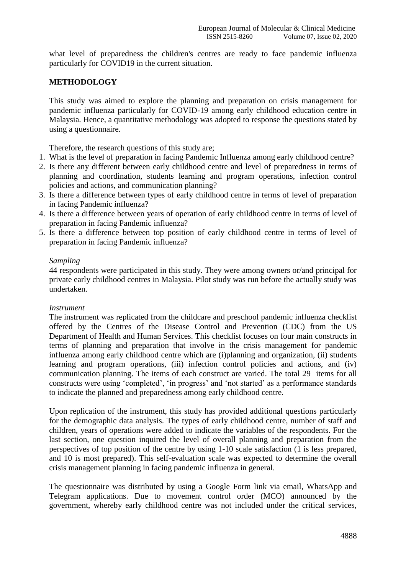what level of preparedness the children's centres are ready to face pandemic influenza particularly for COVID19 in the current situation.

# **METHODOLOGY**

This study was aimed to explore the planning and preparation on crisis management for pandemic influenza particularly for COVID-19 among early childhood education centre in Malaysia. Hence, a quantitative methodology was adopted to response the questions stated by using a questionnaire.

Therefore, the research questions of this study are;

- 1. What is the level of preparation in facing Pandemic Influenza among early childhood centre?
- 2. Is there any different between early childhood centre and level of preparedness in terms of planning and coordination, students learning and program operations, infection control policies and actions, and communication planning?
- 3. Is there a difference between types of early childhood centre in terms of level of preparation in facing Pandemic influenza?
- 4. Is there a difference between years of operation of early childhood centre in terms of level of preparation in facing Pandemic influenza?
- 5. Is there a difference between top position of early childhood centre in terms of level of preparation in facing Pandemic influenza?

### *Sampling*

44 respondents were participated in this study. They were among owners or/and principal for private early childhood centres in Malaysia. Pilot study was run before the actually study was undertaken.

#### *Instrument*

The instrument was replicated from the childcare and preschool pandemic influenza checklist offered by the Centres of the Disease Control and Prevention (CDC) from the US Department of Health and Human Services. This checklist focuses on four main constructs in terms of planning and preparation that involve in the crisis management for pandemic influenza among early childhood centre which are (i)planning and organization, (ii) students learning and program operations, (iii) infection control policies and actions, and (iv) communication planning. The items of each construct are varied. The total 29 items for all constructs were using 'completed', 'in progress' and 'not started' as a performance standards to indicate the planned and preparedness among early childhood centre.

Upon replication of the instrument, this study has provided additional questions particularly for the demographic data analysis. The types of early childhood centre, number of staff and children, years of operations were added to indicate the variables of the respondents. For the last section, one question inquired the level of overall planning and preparation from the perspectives of top position of the centre by using 1-10 scale satisfaction (1 is less prepared, and 10 is most prepared). This self-evaluation scale was expected to determine the overall crisis management planning in facing pandemic influenza in general.

The questionnaire was distributed by using a Google Form link via email, WhatsApp and Telegram applications. Due to movement control order (MCO) announced by the government, whereby early childhood centre was not included under the critical services,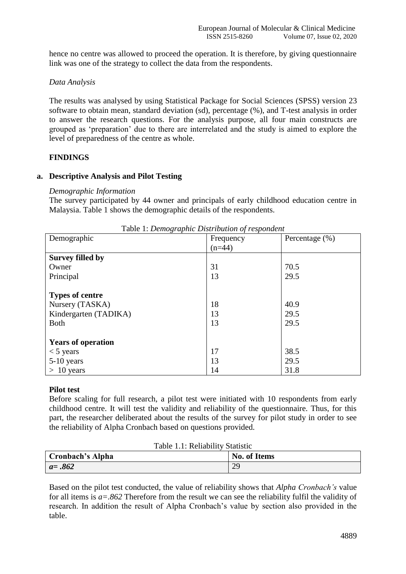hence no centre was allowed to proceed the operation. It is therefore, by giving questionnaire link was one of the strategy to collect the data from the respondents.

# *Data Analysis*

The results was analysed by using Statistical Package for Social Sciences (SPSS) version 23 software to obtain mean, standard deviation (sd), percentage (%), and T-test analysis in order to answer the research questions. For the analysis purpose, all four main constructs are grouped as 'preparation' due to there are interrelated and the study is aimed to explore the level of preparedness of the centre as whole.

# **FINDINGS**

# **a. Descriptive Analysis and Pilot Testing**

# *Demographic Information*

The survey participated by 44 owner and principals of early childhood education centre in Malaysia. Table 1 shows the demographic details of the respondents.

| Demographic               | Frequency | Percentage $(\% )$ |
|---------------------------|-----------|--------------------|
|                           | $(n=44)$  |                    |
| <b>Survey filled by</b>   |           |                    |
| Owner                     | 31        | 70.5               |
| Principal                 | 13        | 29.5               |
|                           |           |                    |
| <b>Types of centre</b>    |           |                    |
| Nursery (TASKA)           | 18        | 40.9               |
| Kindergarten (TADIKA)     | 13        | 29.5               |
| <b>Both</b>               | 13        | 29.5               |
|                           |           |                    |
| <b>Years of operation</b> |           |                    |
| $<$ 5 years               | 17        | 38.5               |
| 5-10 years                | 13        | 29.5               |
| $> 10$ years              | 14        | 31.8               |

Table 1: *Demographic Distribution of respondent*

# **Pilot test**

Before scaling for full research, a pilot test were initiated with 10 respondents from early childhood centre. It will test the validity and reliability of the questionnaire. Thus, for this part, the researcher deliberated about the results of the survey for pilot study in order to see the reliability of Alpha Cronbach based on questions provided.

| Table 1.1: Reliability Statistic |                     |  |  |  |  |  |
|----------------------------------|---------------------|--|--|--|--|--|
| Cronbach's Alpha                 | <b>No. of Items</b> |  |  |  |  |  |
| $a = .862$                       | 29                  |  |  |  |  |  |

Based on the pilot test conducted, the value of reliability shows that *Alpha Cronbach's* value for all items is *a=.862* Therefore from the result we can see the reliability fulfil the validity of research. In addition the result of Alpha Cronbach's value by section also provided in the table.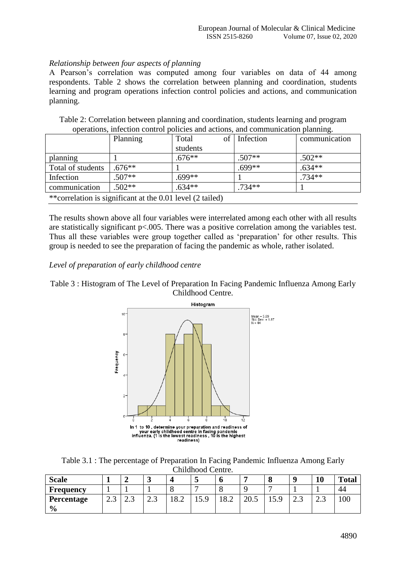# *Relationship between four aspects of planning*

A Pearson's correlation was computed among four variables on data of 44 among respondents. Table 2 shows the correlation between planning and coordination, students learning and program operations infection control policies and actions, and communication planning.

|                                                            | operations, infection control policies and actions, and communication praming. |          |  |           |               |  |  |  |
|------------------------------------------------------------|--------------------------------------------------------------------------------|----------|--|-----------|---------------|--|--|--|
|                                                            | Planning                                                                       | Total    |  | Infection | communication |  |  |  |
|                                                            |                                                                                | students |  |           |               |  |  |  |
| planning                                                   |                                                                                | $.676**$ |  | $.507**$  | $.502**$      |  |  |  |
| Total of students                                          | $.676**$                                                                       |          |  | $.699**$  | $.634**$      |  |  |  |
| Infection                                                  | $.507**$                                                                       | $.699**$ |  |           | $.734**$      |  |  |  |
| communication                                              | $.502**$                                                                       | $.634**$ |  | $.734**$  |               |  |  |  |
| ** correlation is significant at the 0.01 level (2 tailed) |                                                                                |          |  |           |               |  |  |  |

Table 2: Correlation between planning and coordination, students learning and program operations, infection control policies and actions, and communication planning.

The results shown above all four variables were interrelated among each other with all results are statistically significant p<.005. There was a positive correlation among the variables test. Thus all these variables were group together called as 'preparation' for other results. This group is needed to see the preparation of facing the pandemic as whole, rather isolated.

# *Level of preparation of early childhood centre*

Table 3 : Histogram of The Level of Preparation In Facing Pandemic Influenza Among Early Childhood Centre.



Table 3.1 : The percentage of Preparation In Facing Pandemic Influenza Among Early Childhood Centre.

| <b>Scale</b>     |      |       | ູ    |                    | ັ       |      |      | U     |      | 10   | <b>Total</b> |
|------------------|------|-------|------|--------------------|---------|------|------|-------|------|------|--------------|
| <b>Frequency</b> |      |       |      |                    |         |      |      |       |      |      | 44           |
| Percentage       | ر. ک | ر . ب | ر. ک | $\Omega$<br>⊥ O .∠ | 1 J . J | 18.2 | 20.J | ر د ب | ر. ک | ر. ک | 100          |
| $\frac{6}{9}$    |      |       |      |                    |         |      |      |       |      |      |              |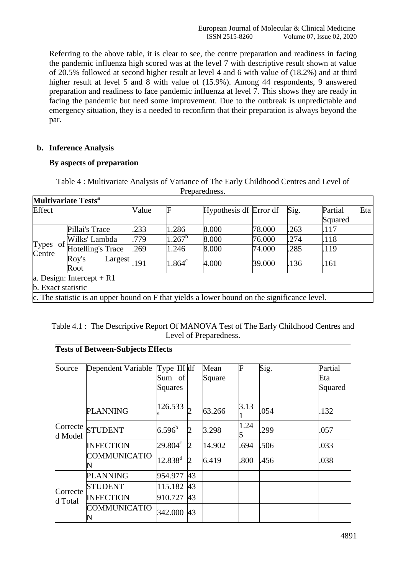Referring to the above table, it is clear to see, the centre preparation and readiness in facing the pandemic influenza high scored was at the level 7 with descriptive result shown at value of 20.5% followed at second higher result at level 4 and 6 with value of (18.2%) and at third higher result at level 5 and 8 with value of (15.9%). Among 44 respondents, 9 answered preparation and readiness to face pandemic influenza at level 7. This shows they are ready in facing the pandemic but need some improvement. Due to the outbreak is unpredictable and emergency situation, they is a needed to reconfirm that their preparation is always beyond the par.

# **b. Inference Analysis**

# **By aspects of preparation**

|                              | <b>Multivariate Tests<sup>a</sup></b>                                                        |       |           |                        |        |      |         |     |  |
|------------------------------|----------------------------------------------------------------------------------------------|-------|-----------|------------------------|--------|------|---------|-----|--|
| Effect                       |                                                                                              | Value | F         | Hypothesis df Error df |        | Sig. | Partial | Eta |  |
|                              |                                                                                              |       |           |                        |        |      | Squared |     |  |
|                              | Pillai's Trace                                                                               | .233  | .286      | 8.000                  | 78.000 | .263 | .117    |     |  |
| of<br><b>Types</b><br>Centre | Wilks' Lambda                                                                                | .779  | $.267^b$  | 8.000                  | 76.000 | .274 | .118    |     |  |
|                              | <b>Hotelling's Trace</b>                                                                     | .269  | .246      | 8.000                  | 74.000 | .285 | 119     |     |  |
|                              | Roy's<br>Largest<br>Root                                                                     | 191   | $1.864^c$ | 4.000                  | 39.000 | .136 | .161    |     |  |
| a. Design: Intercept $+$ R1  |                                                                                              |       |           |                        |        |      |         |     |  |
| b. Exact statistic           |                                                                                              |       |           |                        |        |      |         |     |  |
|                              | c. The statistic is an upper bound on F that yields a lower bound on the significance level. |       |           |                        |        |      |         |     |  |

Table 4 : Multivariate Analysis of Variance of The Early Childhood Centres and Level of Preparedness.

| Table 4.1: The Descriptive Report Of MANOVA Test of The Early Childhood Centres and |
|-------------------------------------------------------------------------------------|
| Level of Preparedness.                                                              |

| <b>Tests of Between-Subjects Effects</b> |                    |                  |                |        |      |      |         |  |  |
|------------------------------------------|--------------------|------------------|----------------|--------|------|------|---------|--|--|
| Source                                   | Dependent Variable | Type III $df$    |                | Mean   | F    | Sig. | Partial |  |  |
|                                          |                    | Sum of           |                | Square |      |      | Eta     |  |  |
|                                          |                    | Squares          |                |        |      |      | Squared |  |  |
|                                          | <b>PLANNING</b>    | 126.533          |                | 63.266 | 3.13 | .054 | .132    |  |  |
| d Model                                  | Correcte STUDENT   | $6.596^b$        | $\overline{2}$ | 3.298  | 1.24 | .299 | .057    |  |  |
|                                          | <b>INFECTION</b>   | $29.804^{\circ}$ | 2              | 14.902 | .694 | .506 | .033    |  |  |
|                                          | COMMUNICATIO       | $12.838^{\rm d}$ | $\overline{2}$ | 6.419  | .800 | .456 | .038    |  |  |
|                                          | PLANNING           | 954.977          | 43             |        |      |      |         |  |  |
| Correcte<br>d Total                      | <b>STUDENT</b>     | 115.182          | 43             |        |      |      |         |  |  |
|                                          | <b>INFECTION</b>   | 910.727          | 43             |        |      |      |         |  |  |
|                                          | COMMUNICATIO       | 342.000          | 43             |        |      |      |         |  |  |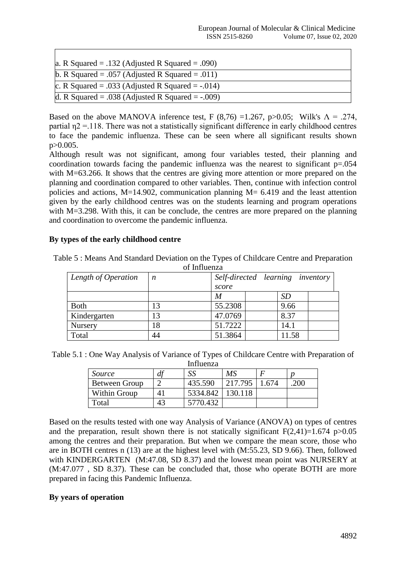| a. R Squared = .132 (Adjusted R Squared = .090)      |
|------------------------------------------------------|
| b. R Squared = .057 (Adjusted R Squared = .011)      |
| c. R Squared = .033 (Adjusted R Squared = $-0.014$ ) |
| d. R Squared = .038 (Adjusted R Squared = $-.009$ )  |

Based on the above MANOVA inference test, F (8,76) =1.267, p>0.05; Wilk's  $\Lambda = .274$ , partial  $\eta$ 2 = 118. There was not a statistically significant difference in early childhood centres to face the pandemic influenza. These can be seen where all significant results shown p>0.005.

Although result was not significant, among four variables tested, their planning and coordination towards facing the pandemic influenza was the nearest to significant p=.054 with M=63.266. It shows that the centres are giving more attention or more prepared on the planning and coordination compared to other variables. Then, continue with infection control policies and actions, M=14.902, communication planning M= 6.419 and the least attention given by the early childhood centres was on the students learning and program operations with M=3.298. With this, it can be conclude, the centres are more prepared on the planning and coordination to overcome the pandemic influenza.

# **By types of the early childhood centre**

| Table 5: Means And Standard Deviation on the Types of Childcare Centre and Preparation |
|----------------------------------------------------------------------------------------|
| of Influenza                                                                           |

| <u>ul millaulla</u> |    |                                  |           |  |  |  |  |
|---------------------|----|----------------------------------|-----------|--|--|--|--|
| Length of Operation | n  | Self-directed learning inventory |           |  |  |  |  |
|                     |    | score                            |           |  |  |  |  |
|                     |    | M                                | <i>SD</i> |  |  |  |  |
| <b>Both</b>         | 13 | 55.2308                          | 9.66      |  |  |  |  |
| Kindergarten        | 13 | 47.0769                          | 8.37      |  |  |  |  |
| Nursery             | 18 | 51.7222                          | 14.1      |  |  |  |  |
| Total               | 44 | 51.3864                          | 11.58     |  |  |  |  |

| Table 5.1 : One Way Analysis of Variance of Types of Childcare Centre with Preparation of |          |  |  |
|-------------------------------------------------------------------------------------------|----------|--|--|
|                                                                                           | Influora |  |  |

| шписпла       |    |          |         |       |     |  |  |
|---------------|----|----------|---------|-------|-----|--|--|
| Source        |    |          | MS      |       |     |  |  |
| Between Group |    | 435.590  | 217.795 | - 674 | 200 |  |  |
| Within Group  |    | 5334.842 | 130.118 |       |     |  |  |
| Total         | 43 | 5770.432 |         |       |     |  |  |

Based on the results tested with one way Analysis of Variance (ANOVA) on types of centres and the preparation, result shown there is not statically significant  $F(2,41)=1.674$  p $>0.05$ among the centres and their preparation. But when we compare the mean score, those who are in BOTH centres n (13) are at the highest level with (M:55.23, SD 9.66). Then, followed with KINDERGARTEN (M:47.08, SD 8.37) and the lowest mean point was NURSERY at (M:47.077 , SD 8.37). These can be concluded that, those who operate BOTH are more prepared in facing this Pandemic Influenza.

# **By years of operation**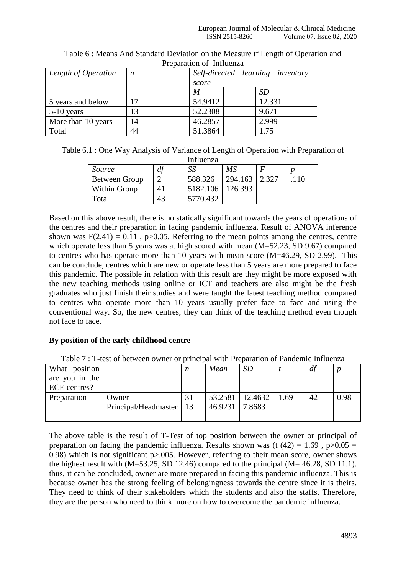| Length of Operation | n  | Self-directed learning inventory |        |  |  |  |
|---------------------|----|----------------------------------|--------|--|--|--|
|                     |    | score                            |        |  |  |  |
|                     |    | M                                | SD     |  |  |  |
| 5 years and below   | 17 | 54.9412                          | 12.331 |  |  |  |
| $5-10$ years        | 13 | 52.2308                          | 9.671  |  |  |  |
| More than 10 years  | 14 | 46.2857                          | 2.999  |  |  |  |
| Total               | 44 | 51.3864                          | 1.75   |  |  |  |

Table 6 : Means And Standard Deviation on the Measure tf Length of Operation and Preparation of Influenza

| Table 6.1 : One Way Analysis of Variance of Length of Operation with Preparation of |
|-------------------------------------------------------------------------------------|
| Influenza                                                                           |

| mmuchza       |    |                    |         |       |  |  |  |
|---------------|----|--------------------|---------|-------|--|--|--|
| Source        | a  |                    | MS      |       |  |  |  |
| Between Group |    | 588.326            | 294.163 | 2.327 |  |  |  |
| Within Group  |    | 5182.106   126.393 |         |       |  |  |  |
| Гоtal         | 43 | 5770.432           |         |       |  |  |  |

Based on this above result, there is no statically significant towards the years of operations of the centres and their preparation in facing pandemic influenza. Result of ANOVA inference shown was  $F(2,41) = 0.11$ , p $>0.05$ . Referring to the mean points among the centres, centre which operate less than 5 years was at high scored with mean (M=52.23, SD 9.67) compared to centres who has operate more than 10 years with mean score (M=46.29, SD 2.99). This can be conclude, centres which are new or operate less than 5 years are more prepared to face this pandemic. The possible in relation with this result are they might be more exposed with the new teaching methods using online or ICT and teachers are also might be the fresh graduates who just finish their studies and were taught the latest teaching method compared to centres who operate more than 10 years usually prefer face to face and using the conventional way. So, the new centres, they can think of the teaching method even though not face to face.

# **By position of the early childhood centre**

| What position  |                      | n  | Mean    | SD      |      | df |      |
|----------------|----------------------|----|---------|---------|------|----|------|
| are you in the |                      |    |         |         |      |    |      |
| ECE centres?   |                      |    |         |         |      |    |      |
| Preparation    | Dwner (              |    | 53.2581 | 12.4632 | 1.69 | 42 | 0.98 |
|                | Principal/Headmaster | 13 | 46.9231 | 7.8683  |      |    |      |
|                |                      |    |         |         |      |    |      |

The above table is the result of T-Test of top position between the owner or principal of preparation on facing the pandemic influenza. Results shown was (t  $(42) = 1.69$ , p $>0.05 = 1.69$ 0.98) which is not significant p>.005. However, referring to their mean score, owner shows the highest result with  $(M=53.25, SD 12.46)$  compared to the principal  $(M=46.28, SD 11.1)$ . thus, it can be concluded, owner are more prepared in facing this pandemic influenza. This is because owner has the strong feeling of belongingness towards the centre since it is theirs. They need to think of their stakeholders which the students and also the staffs. Therefore, they are the person who need to think more on how to overcome the pandemic influenza.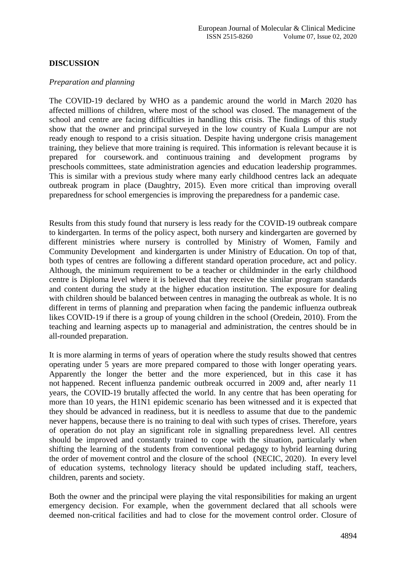# **DISCUSSION**

#### *Preparation and planning*

The COVID-19 declared by WHO as a pandemic around the world in March 2020 has affected millions of children, where most of the school was closed. The management of the school and centre are facing difficulties in handling this crisis. The findings of this study show that the owner and principal surveyed in the low country of Kuala Lumpur are not ready enough to respond to a crisis situation. Despite having undergone crisis management training, they believe that more training is required. This information is relevant because it is prepared for coursework. and continuous training and development programs by preschools committees, state administration agencies and education leadership programmes. This is similar with a previous study where many early childhood centres lack an adequate outbreak program in place (Daughtry, 2015). Even more critical than improving overall preparedness for school emergencies is improving the preparedness for a pandemic case.

Results from this study found that nursery is less ready for the COVID-19 outbreak compare to kindergarten. In terms of the policy aspect, both nursery and kindergarten are governed by different ministries where nursery is controlled by Ministry of Women, Family and Community Development and kindergarten is under Ministry of Education. On top of that, both types of centres are following a different standard operation procedure, act and policy. Although, the minimum requirement to be a teacher or childminder in the early childhood centre is Diploma level where it is believed that they receive the similar program standards and content during the study at the higher education institution. The exposure for dealing with children should be balanced between centres in managing the outbreak as whole. It is no different in terms of planning and preparation when facing the pandemic influenza outbreak likes COVID-19 if there is a group of young children in the school (Oredein, 2010). From the teaching and learning aspects up to managerial and administration, the centres should be in all-rounded preparation.

It is more alarming in terms of years of operation where the study results showed that centres operating under 5 years are more prepared compared to those with longer operating years. Apparently the longer the better and the more experienced, but in this case it has not happened. Recent influenza pandemic outbreak occurred in 2009 and, after nearly 11 years, the COVID-19 brutally affected the world. In any centre that has been operating for more than 10 years, the H1N1 epidemic scenario has been witnessed and it is expected that they should be advanced in readiness, but it is needless to assume that due to the pandemic never happens, because there is no training to deal with such types of crises. Therefore, years of operation do not play an significant role in signalling preparedness level. All centres should be improved and constantly trained to cope with the situation, particularly when shifting the learning of the students from conventional pedagogy to hybrid learning during the order of movement control and the closure of the school (NECIC, 2020). In every level of education systems, technology literacy should be updated including staff, teachers, children, parents and society.

Both the owner and the principal were playing the vital responsibilities for making an urgent emergency decision. For example, when the government declared that all schools were deemed non-critical facilities and had to close for the movement control order. Closure of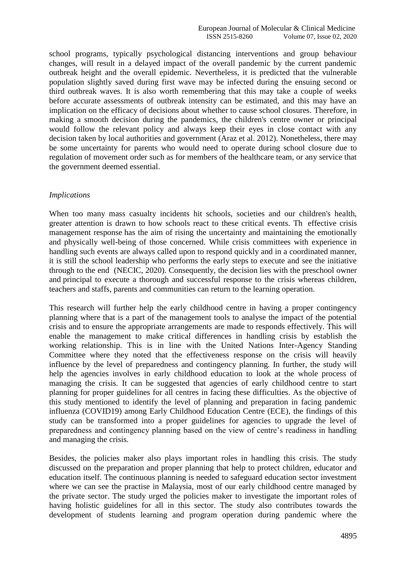school programs, typically psychological distancing interventions and group behaviour changes, will result in a delayed impact of the overall pandemic by the current pandemic outbreak height and the overall epidemic. Nevertheless, it is predicted that the vulnerable population slightly saved during first wave may be infected during the ensuing second or third outbreak waves. It is also worth remembering that this may take a couple of weeks before accurate assessments of outbreak intensity can be estimated, and this may have an implication on the efficacy of decisions about whether to cause school closures. Therefore, in making a smooth decision during the pandemics, the children's centre owner or principal would follow the relevant policy and always keep their eyes in close contact with any decision taken by local authorities and government (Araz et al. 2012). Nonetheless, there may be some uncertainty for parents who would need to operate during school closure due to regulation of movement order such as for members of the healthcare team, or any service that the government deemed essential.

### *Implications*

When too many mass casualty incidents hit schools, societies and our children's health, greater attention is drawn to how schools react to these critical events. Th effective crisis management response has the aim of rising the uncertainty and maintaining the emotionally and physically well-being of those concerned. While crisis committees with experience in handling such events are always called upon to respond quickly and in a coordinated manner, it is still the school leadership who performs the early steps to execute and see the initiative through to the end (NECIC, 2020). Consequently, the decision lies with the preschool owner and principal to execute a thorough and successful response to the crisis whereas children, teachers and staffs, parents and communities can return to the learning operation.

This research will further help the early childhood centre in having a proper contingency planning where that is a part of the management tools to analyse the impact of the potential crisis and to ensure the appropriate arrangements are made to responds effectively. This will enable the management to make critical differences in handling crisis by establish the working relationship. This is in line with the United Nations Inter-Agency Standing Committee where they noted that the effectiveness response on the crisis will heavily influence by the level of preparedness and contingency planning. In further, the study will help the agencies involves in early childhood education to look at the whole process of managing the crisis. It can be suggested that agencies of early childhood centre to start planning for proper guidelines for all centres in facing these difficulties. As the objective of this study mentioned to identify the level of planning and preparation in facing pandemic influenza (COVID19) among Early Childhood Education Centre (ECE), the findings of this study can be transformed into a proper guidelines for agencies to upgrade the level of preparedness and contingency planning based on the view of centre's readiness in handling and managing the crisis.

Besides, the policies maker also plays important roles in handling this crisis. The study discussed on the preparation and proper planning that help to protect children, educator and education itself. The continuous planning is needed to safeguard education sector investment where we can see the practise in Malaysia, most of our early childhood centre managed by the private sector. The study urged the policies maker to investigate the important roles of having holistic guidelines for all in this sector. The study also contributes towards the development of students learning and program operation during pandemic where the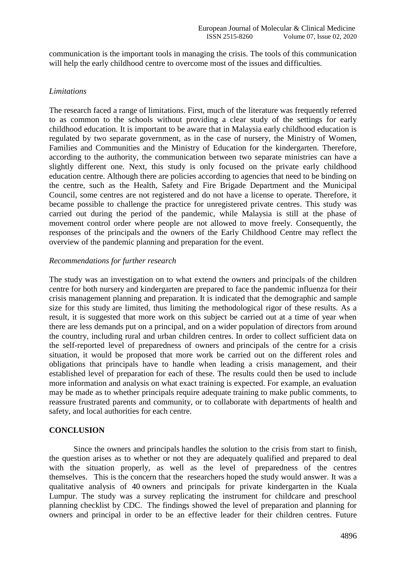communication is the important tools in managing the crisis. The tools of this communication will help the early childhood centre to overcome most of the issues and difficulties.

#### *Limitations*

The research faced a range of limitations. First, much of the literature was frequently referred to as common to the schools without providing a clear study of the settings for early childhood education. It is important to be aware that in Malaysia early childhood education is regulated by two separate government, as in the case of nursery, the Ministry of Women, Families and Communities and the Ministry of Education for the kindergarten. Therefore, according to the authority, the communication between two separate ministries can have a slightly different one. Next, this study is only focused on the private early childhood education centre. Although there are policies according to agencies that need to be binding on the centre, such as the Health, Safety and Fire Brigade Department and the Municipal Council, some centres are not registered and do not have a license to operate. Therefore, it became possible to challenge the practice for unregistered private centres. This study was carried out during the period of the pandemic, while Malaysia is still at the phase of movement control order where people are not allowed to move freely. Consequently, the responses of the principals and the owners of the Early Childhood Centre may reflect the overview of the pandemic planning and preparation for the event.

### *Recommendations for further research*

The study was an investigation on to what extend the owners and principals of the children centre for both nursery and kindergarten are prepared to face the pandemic influenza for their crisis management planning and preparation. It is indicated that the demographic and sample size for this study are limited, thus limiting the methodological rigor of these results. As a result, it is suggested that more work on this subject be carried out at a time of year when there are less demands put on a principal, and on a wider population of directors from around the country, including rural and urban children centres. In order to collect sufficient data on the self-reported level of preparedness of owners and principals of the centre for a crisis situation, it would be proposed that more work be carried out on the different roles and obligations that principals have to handle when leading a crisis management, and their established level of preparation for each of these. The results could then be used to include more information and analysis on what exact training is expected. For example, an evaluation may be made as to whether principals require adequate training to make public comments, to reassure frustrated parents and community, or to collaborate with departments of health and safety, and local authorities for each centre.

# **CONCLUSION**

Since the owners and principals handles the solution to the crisis from start to finish, the question arises as to whether or not they are adequately qualified and prepared to deal with the situation properly, as well as the level of preparedness of the centres themselves. This is the concern that the researchers hoped the study would answer. It was a qualitative analysis of 40 owners and principals for private kindergarten in the Kuala Lumpur. The study was a survey replicating the instrument for childcare and preschool planning checklist by CDC. The findings showed the level of preparation and planning for owners and principal in order to be an effective leader for their children centres. Future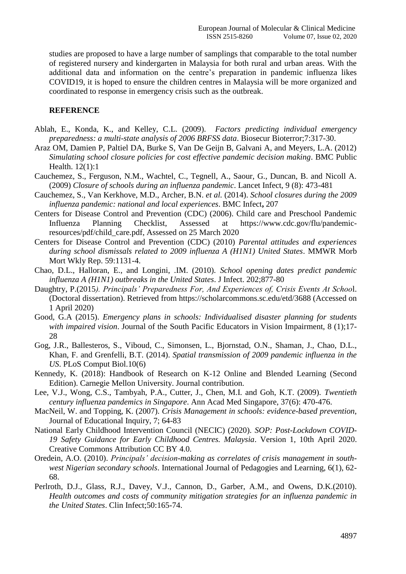studies are proposed to have a large number of samplings that comparable to the total number of registered nursery and kindergarten in Malaysia for both rural and urban areas. With the additional data and information on the centre's preparation in pandemic influenza likes COVID19, it is hoped to ensure the children centres in Malaysia will be more organized and coordinated to response in emergency crisis such as the outbreak.

#### **REFERENCE**

- Ablah, E., Konda, K., and Kelley, C.L. (2009). *Factors predicting individual emergency preparedness: a multi-state analysis of 2006 BRFSS data*. Biosecur Bioterror;7:317-30.
- Araz OM, Damien P, Paltiel DA, Burke S, Van De Geijn B, Galvani A, and Meyers, L.A. (2012) *Simulating school closure policies for cost effective pandemic decision making*. BMC Public Health. 12(1):1
- Cauchemez, S., Ferguson, N.M., Wachtel, C., Tegnell, A., Saour, G., Duncan, B. and Nicoll A. (2009) *Closure of schools during an influenza pandemic*. Lancet Infect, 9 (8): 473-481
- Cauchemez, S., Van Kerkhove, M.D., Archer, B.N. *et al.* (2014). *School closures during the 2009 influenza pandemic: national and local experiences*. BMC Infect**,** 207
- Centers for Disease Control and Prevention (CDC) (2006). Child care and Preschool Pandemic Influenza Planning Checklist, Assessed at [https://www.cdc.gov/flu/pandemic](https://www.cdc.gov/flu/pandemic-resources/pdf/child_care.pdf)[resources/pdf/child\\_care.pdf,](https://www.cdc.gov/flu/pandemic-resources/pdf/child_care.pdf) Assessed on 25 March 2020
- Centers for Disease Control and Prevention (CDC) (2010) *Parental attitudes and experiences during school dismissals related to 2009 influenza A (H1N1) United States*. MMWR Morb Mort Wkly Rep. 59:1131-4.
- Chao, D.L., Halloran, E., and Longini, .IM. (2010). *School opening dates predict pandemic influenza A (H1N1) outbreaks in the United States*. J Infect. 202;877-80
- Daughtry, P.(2015*). Principals' Preparedness For, And Experiences of, Crisis Events At Schoo*l. (Doctoral dissertation). Retrieved from https://scholarcommons.sc.edu/etd/3688 (Accessed on 1 April 2020)
- Good, G.A (2015). *Emergency plans in schools: Individualised disaster planning for students with impaired vision*. Journal of the South Pacific Educators in Vision Impairment, 8 (1);17- 28
- Gog, J.R., Ballesteros, S., Viboud, C., Simonsen, L., Bjornstad, O.N., Shaman, J., Chao, D.L., Khan, F. and Grenfelli, B.T. (2014). *Spatial transmission of 2009 pandemic influenza in the US*. PLoS Comput Biol.10(6)
- Kennedy, K. (2018): Handbook of Research on K-12 Online and Blended Learning (Second Edition). Carnegie Mellon University. Journal contribution.
- Lee, V.J., Wong, C.S., Tambyah, P.A., Cutter, J., Chen, M.I. and Goh, K.T. (2009). *Twentieth century influenza pandemics in Singapore*. Ann Acad Med Singapore, 37(6): 470-476.
- MacNeil, W. and Topping, K. (2007). *Crisis Management in schools: evidence-based prevention*, Journal of Educational Inquiry, 7; 64-83
- National Early Childhood Intervention Council (NECIC) (2020). *SOP: Post-Lockdown COVID-19 Safety Guidance for Early Childhood Centres. Malaysia*. Version 1, 10th April 2020. Creative Commons Attribution CC BY 4.0.
- Oredein, A.O. (2010). *Principals' decision-making as correlates of crisis management in southwest Nigerian secondary schools*. International Journal of Pedagogies and Learning, 6(1), 62- 68.
- Perlroth, D.J., Glass, R.J., Davey, V.J., Cannon, D., Garber, A.M., and Owens, D.K.(2010). *Health outcomes and costs of community mitigation strategies for an influenza pandemic in the United States*. Clin Infect;50:165-74.